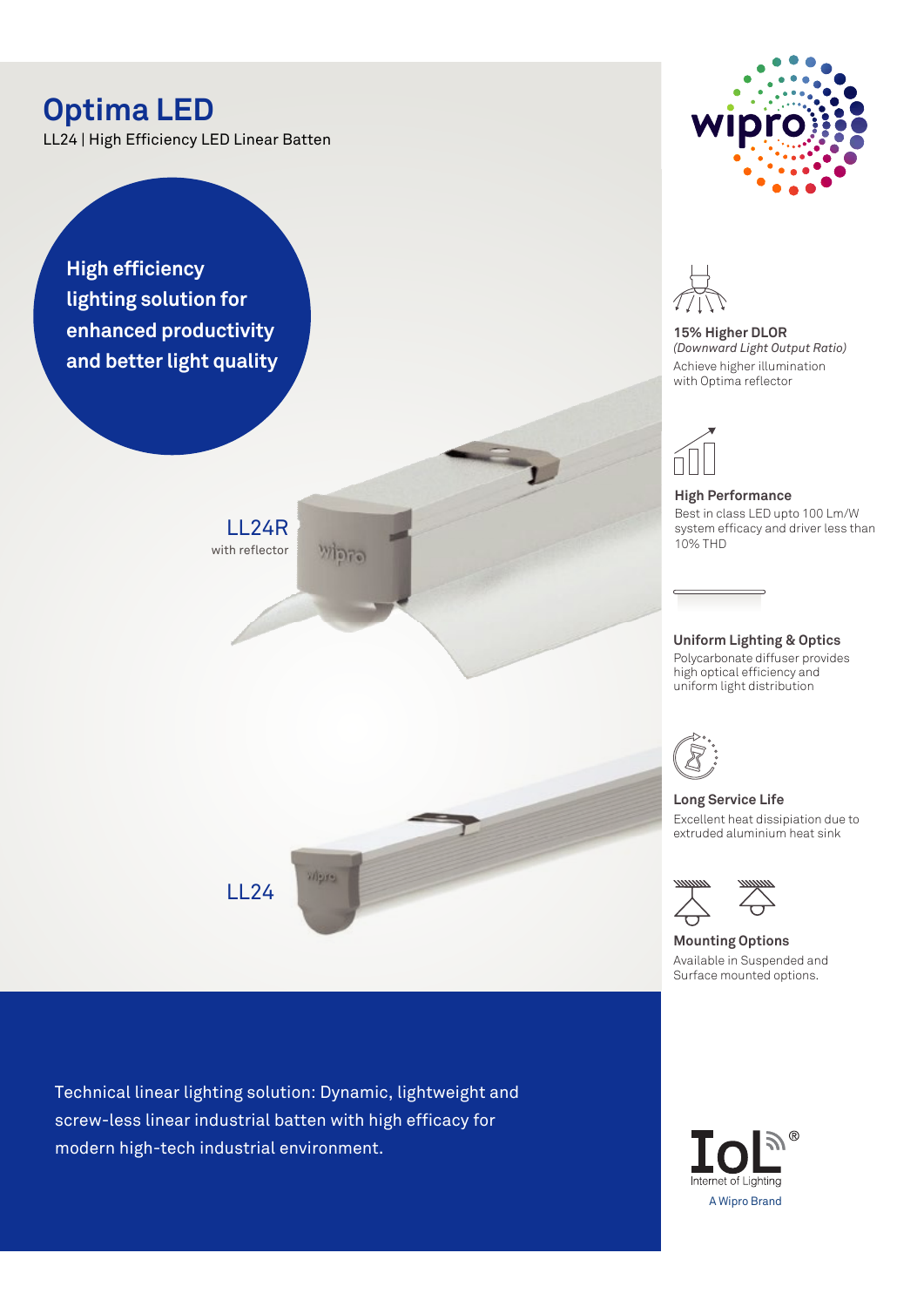# **Optima LED**

LL24 | High Efficiency LED Linear Batten

**High efficiency lighting solution for enhanced productivity and better light quality**

> LL24R with reflector

> > LL24

**Wayne** 

Technical linear lighting solution: Dynamic, lightweight and screw-less linear industrial batten with high efficacy for modern high-tech industrial environment.



**15% Higher DLOR** *(Downward Light Output Ratio)* Achieve higher illumination with Optima reflector



**High Performance**  Best in class LED upto 100 Lm/W system efficacy and driver less than 10% THD

### **Uniform Lighting & Optics**

Polycarbonate diffuser provides high optical efficiency and uniform light distribution



**Long Service Life** Excellent heat dissipiation due to extruded aluminium heat sink



**Mounting Options**

Available in Suspended and Surface mounted options.